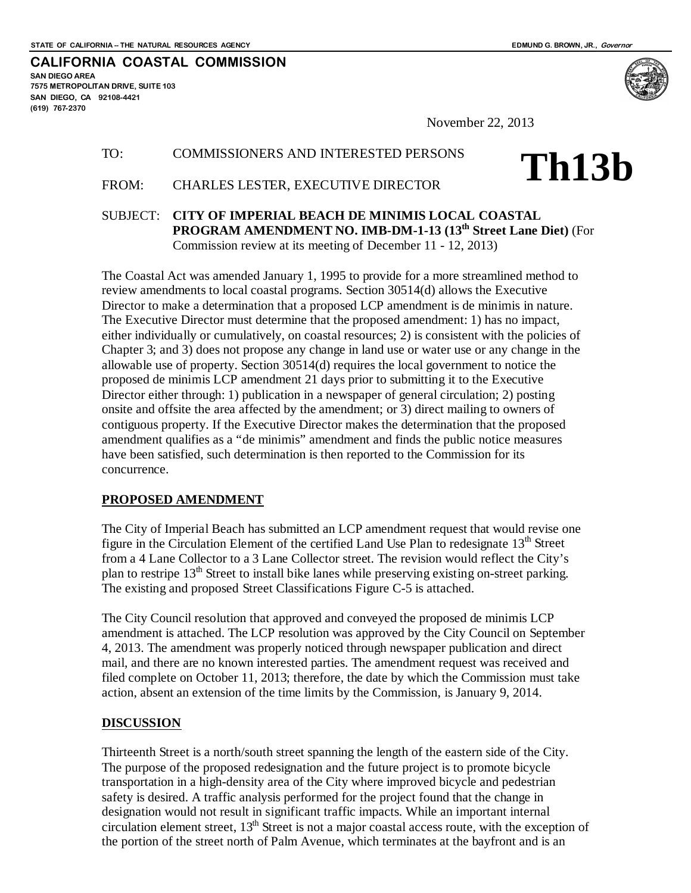**SAN DIEGO AREA**

**(619) 767-2370**

**7575 METROPOLITAN DRIVE, SUITE 103 SAN DIEGO, CA 92108-4421**

**CALIFORNIA COASTAL COMMISSION**

**Th13b**

November 22, 2013

## TO: COMMISSIONERS AND INTERESTED PERSONS

# FROM: CHARLES LESTER, EXECUTIVE DIRECTOR

SUBJECT: **CITY OF IMPERIAL BEACH DE MINIMIS LOCAL COASTAL PROGRAM AMENDMENT NO. IMB-DM-1-13 (13th Street Lane Diet)** (For Commission review at its meeting of December 11 - 12, 2013)

The Coastal Act was amended January 1, 1995 to provide for a more streamlined method to review amendments to local coastal programs. Section 30514(d) allows the Executive Director to make a determination that a proposed LCP amendment is de minimis in nature. The Executive Director must determine that the proposed amendment: 1) has no impact, either individually or cumulatively, on coastal resources; 2) is consistent with the policies of Chapter 3; and 3) does not propose any change in land use or water use or any change in the allowable use of property. Section 30514(d) requires the local government to notice the proposed de minimis LCP amendment 21 days prior to submitting it to the Executive Director either through: 1) publication in a newspaper of general circulation; 2) posting onsite and offsite the area affected by the amendment; or 3) direct mailing to owners of contiguous property. If the Executive Director makes the determination that the proposed amendment qualifies as a "de minimis" amendment and finds the public notice measures have been satisfied, such determination is then reported to the Commission for its concurrence.

## **PROPOSED AMENDMENT**

The City of Imperial Beach has submitted an LCP amendment request that would revise one figure in the Circulation Element of the certified Land Use Plan to redesignate 13<sup>th</sup> Street from a 4 Lane Collector to a 3 Lane Collector street. The revision would reflect the City's plan to restripe 13<sup>th</sup> Street to install bike lanes while preserving existing on-street parking. The existing and proposed Street Classifications Figure C-5 is attached.

The City Council resolution that approved and conveyed the proposed de minimis LCP amendment is attached. The LCP resolution was approved by the City Council on September 4, 2013. The amendment was properly noticed through newspaper publication and direct mail, and there are no known interested parties. The amendment request was received and filed complete on October 11, 2013; therefore, the date by which the Commission must take action, absent an extension of the time limits by the Commission, is January 9, 2014.

## **DISCUSSION**

Thirteenth Street is a north/south street spanning the length of the eastern side of the City. The purpose of the proposed redesignation and the future project is to promote bicycle transportation in a high-density area of the City where improved bicycle and pedestrian safety is desired. A traffic analysis performed for the project found that the change in designation would not result in significant traffic impacts. While an important internal circulation element street, 13<sup>th</sup> Street is not a major coastal access route, with the exception of the portion of the street north of Palm Avenue, which terminates at the bayfront and is an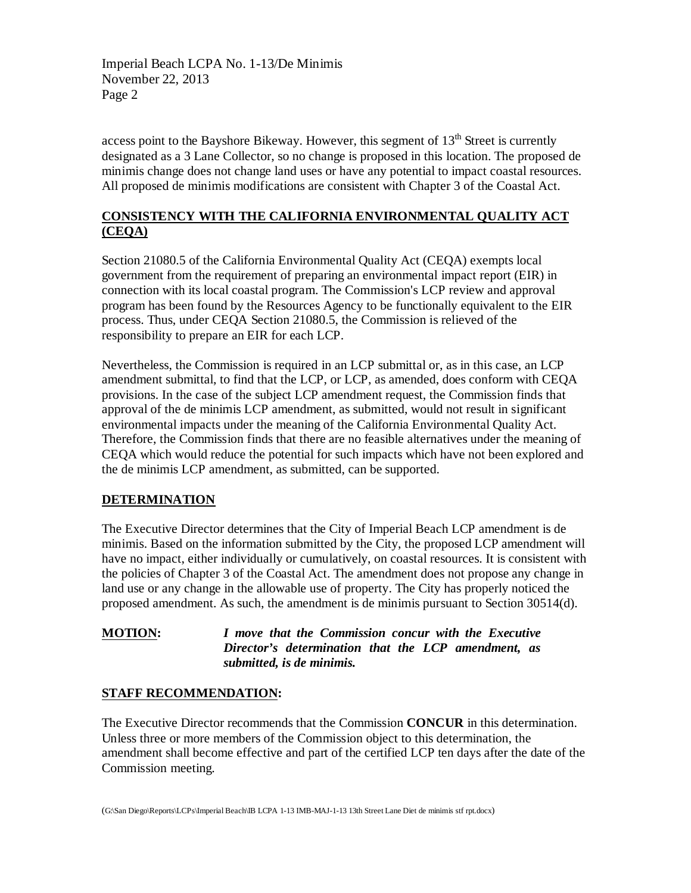Imperial Beach LCPA No. 1-13/De Minimis November 22, 2013 Page 2

access point to the Bayshore Bikeway. However, this segment of  $13<sup>th</sup>$  Street is currently designated as a 3 Lane Collector, so no change is proposed in this location. The proposed de minimis change does not change land uses or have any potential to impact coastal resources. All proposed de minimis modifications are consistent with Chapter 3 of the Coastal Act.

# **CONSISTENCY WITH THE CALIFORNIA ENVIRONMENTAL QUALITY ACT (CEQA)**

Section 21080.5 of the California Environmental Quality Act (CEQA) exempts local government from the requirement of preparing an environmental impact report (EIR) in connection with its local coastal program. The Commission's LCP review and approval program has been found by the Resources Agency to be functionally equivalent to the EIR process. Thus, under CEQA Section 21080.5, the Commission is relieved of the responsibility to prepare an EIR for each LCP.

Nevertheless, the Commission is required in an LCP submittal or, as in this case, an LCP amendment submittal, to find that the LCP, or LCP, as amended, does conform with CEQA provisions. In the case of the subject LCP amendment request, the Commission finds that approval of the de minimis LCP amendment, as submitted, would not result in significant environmental impacts under the meaning of the California Environmental Quality Act. Therefore, the Commission finds that there are no feasible alternatives under the meaning of CEQA which would reduce the potential for such impacts which have not been explored and the de minimis LCP amendment, as submitted, can be supported.

## **DETERMINATION**

The Executive Director determines that the City of Imperial Beach LCP amendment is de minimis. Based on the information submitted by the City, the proposed LCP amendment will have no impact, either individually or cumulatively, on coastal resources. It is consistent with the policies of Chapter 3 of the Coastal Act. The amendment does not propose any change in land use or any change in the allowable use of property. The City has properly noticed the proposed amendment. As such, the amendment is de minimis pursuant to Section 30514(d).

**MOTION:** *I move that the Commission concur with the Executive Director's determination that the LCP amendment, as submitted, is de minimis.*

# **STAFF RECOMMENDATION:**

The Executive Director recommends that the Commission **CONCUR** in this determination. Unless three or more members of the Commission object to this determination, the amendment shall become effective and part of the certified LCP ten days after the date of the Commission meeting.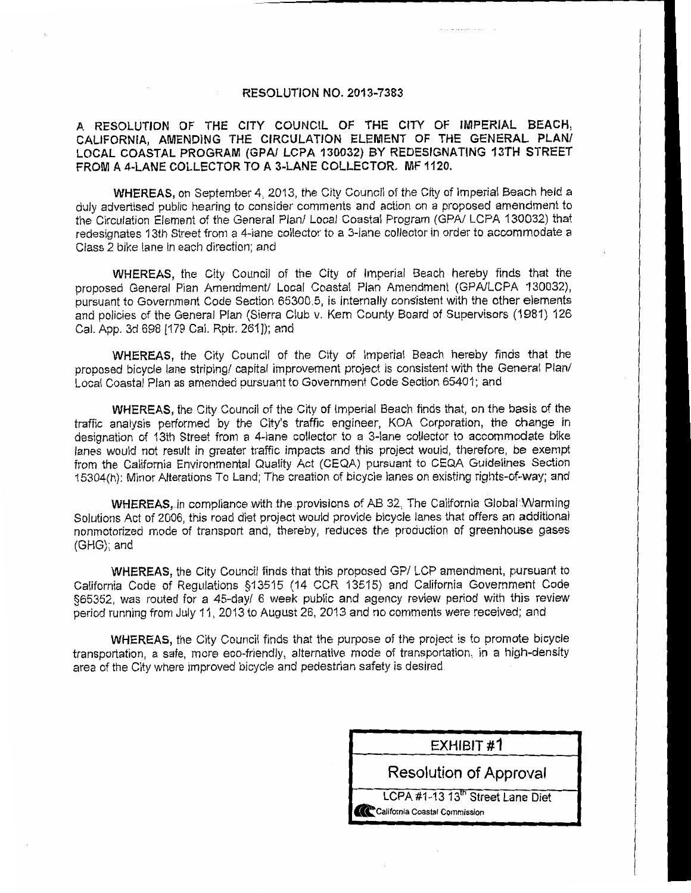### **RESOLUTION NO. 2013-7383**

## A RESOLUTION OF THE CITY COUNCIL OF THE CITY OF IMPERIAL BEACH, CALIFORNIA, AMENDING THE CIRCULATION ELEMENT OF THE GENERAL PLAN/ LOCAL COASTAL PROGRAM (GPA/ LCPA 130032) BY REDESIGNATING 13TH STREET FROM A 4-LANE COLLECTOR TO A 3-LANE COLLECTOR. MF 1120.

WHEREAS, on September 4, 2013, the City Council of the City of Imperial Beach held a duly advertised public hearing to consider comments and action on a proposed amendment to the Circulation Element of the General Plan/ Local Coastal Program (GPA/ LCPA 130032) that redesignates 13th Street from a 4-lane collector to a 3-lane collector in order to accommodate a Class 2 bike lane in each direction; and

WHEREAS, the City Council of the City of Imperial Beach hereby finds that the proposed General Plan Amendment/ Local Coastal Plan Amendment (GPA/LCPA 130032), bursuant to Government Code Section 65300.5, is internally consistent with the other elements and policies of the General Plan (Sierra Club v. Kern County Board of Supervisors (1981) 126 Cal. App. 3d 698 [179 Cal. Rptr. 261]); and

WHEREAS, the City Council of the City of Imperial Beach hereby finds that the proposed bicycle lane striping/ capital improvement project is consistent with the General Plan/ Local Coastal Plan as amended pursuant to Government Code Section 65401; and

WHEREAS, the City Council of the City of Imperial Beach finds that, on the basis of the traffic analysis performed by the City's traffic engineer. KOA Corporation, the change in designation of 13th Street from a 4-lane collector to a 3-lane collector to accommodate bike lanes would not result in greater traffic impacts and this project would, therefore, be exempt from the California Environmental Quality Act (CEQA) pursuant to CEQA Guidelines Section 15304(h): Minor Alterations To Land; The creation of bicycle lanes on existing rights-of-way; and

WHEREAS, in compliance with the provisions of AB 32, The California Global Warming Solutions Act of 2006, this road diet project would provide bicycle lanes that offers an additional nonmotorized mode of transport and, thereby, reduces the production of greenhouse gases (GHG); and

WHEREAS, the City Council finds that this proposed GP/LCP amendment, pursuant to California Code of Regulations §13515 (14 CCR 13515) and California Government Code §65352, was routed for a 45-day/ 6 week public and agency review period with this review period running from July 11, 2013 to August 26, 2013 and no comments were received; and

WHEREAS, the City Council finds that the purpose of the project is to promote bicycle transportation, a safe, more eco-friendly, alternative mode of transportation, in a high-density area of the City where improved bicycle and pedestrian safety is desired.

| EXHIBIT #1                                                                    |  |  |  |
|-------------------------------------------------------------------------------|--|--|--|
| <b>Resolution of Approval</b>                                                 |  |  |  |
| LCPA #1-13 13 <sup>th</sup> Street Lane Diet<br>California Coastal Commission |  |  |  |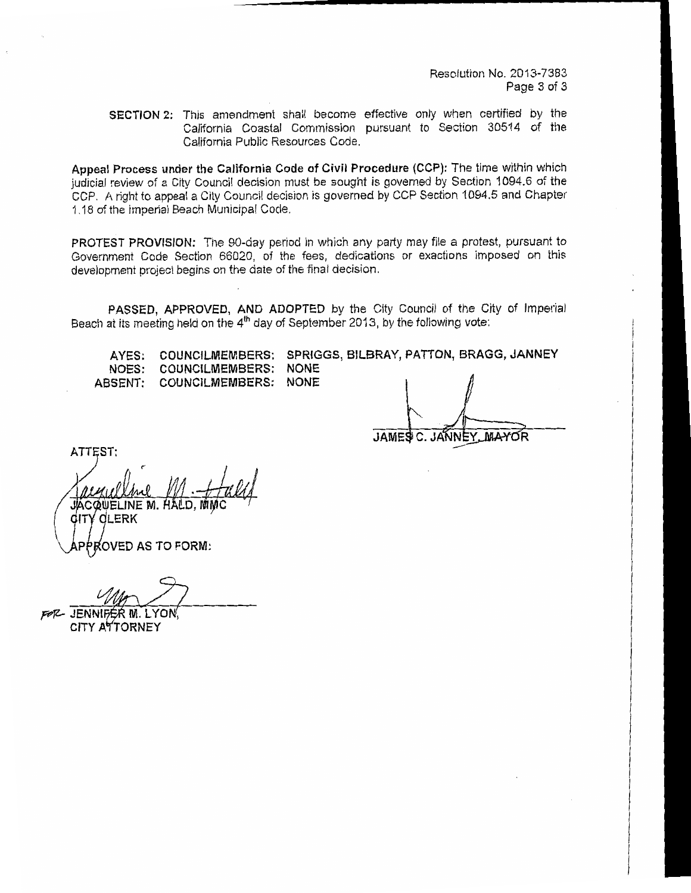Resolution No. 2013-7383 Page 3 of 3

SECTION 2: This amendment shall become effective only when certified by the California Coastal Commission pursuant to Section 30514 of the California Public Resources Code.

Appeal Process under the California Code of Civil Procedure (CCP): The time within which judicial review of a City Council decision must be sought is governed by Section 1094.6 of the CCP. A right to appeal a City Council decision is governed by CCP Section 1094.5 and Chapter 1.18 of the Imperial Beach Municipal Code.

PROTEST PROVISION: The 90-day period in which any party may file a protest, pursuant to Government Code Section 66020, of the fees, dedications or exactions imposed on this development project begins on the date of the final decision.

PASSED, APPROVED, AND ADOPTED by the City Council of the City of Imperial Beach at its meeting held on the 4<sup>th</sup> day of September 2013, by the following vote:

| AYES: COUNCILMEMBERS: SPRIGGS, BILBRAY, PATTON, BRAGG, JANNEY |  |  |
|---------------------------------------------------------------|--|--|
| NOES: COUNCILMEMBERS: NONE                                    |  |  |
| ABSENT: COUNCILMEMBERS: NONE                                  |  |  |

**JAMES**  $\mathbf{C}$ JANNEY, MAYOR

ATTEST.

JACQUELINE M. H dLERK

PROVED AS TO FORM:

FOR JENNIFER M. LYON

CITY ATTORNEY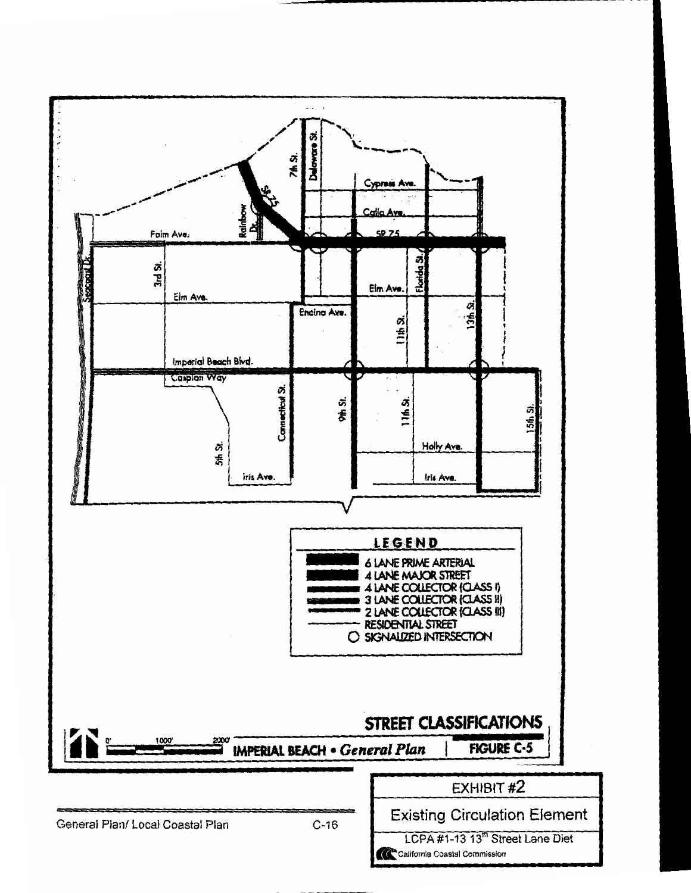